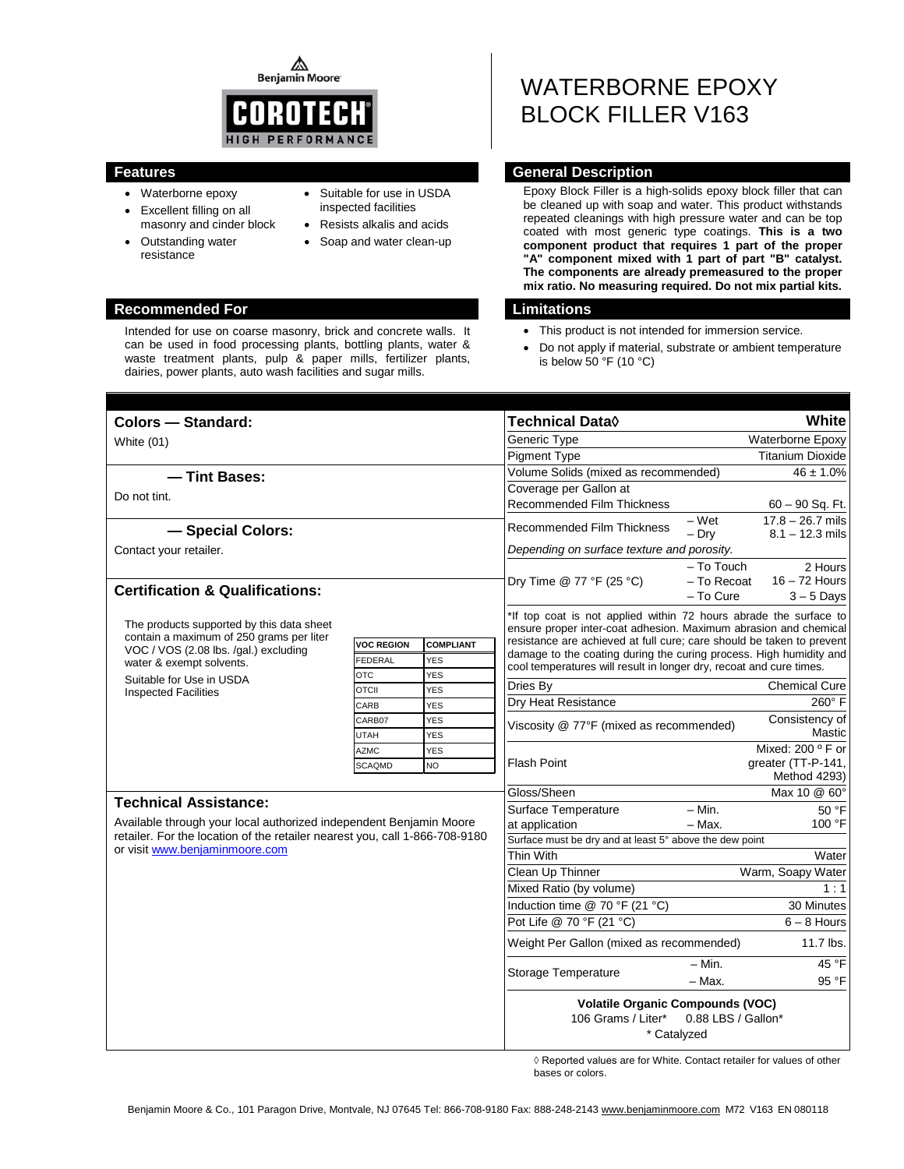⚠ **Benjamin Moore** 



- Waterborne epoxy
- Excellent filling on all masonry and cinder block
- Outstanding water resistance
- Suitable for use in USDA inspected facilities
- Resists alkalis and acids
- Soap and water clean-up

#### **Recommended For Limitations**

Intended for use on coarse masonry, brick and concrete walls. It can be used in food processing plants, bottling plants, water & waste treatment plants, pulp & paper mills, fertilizer plants, dairies, power plants, auto wash facilities and sugar mills.

# WATERBORNE EPOXY BLOCK FILLER V163

#### **Features General Description**

Epoxy Block Filler is a high-solids epoxy block filler that can be cleaned up with soap and water. This product withstands repeated cleanings with high pressure water and can be top coated with most generic type coatings. **This is a two component product that requires 1 part of the proper "A" component mixed with 1 part of part "B" catalyst. The components are already premeasured to the proper mix ratio. No measuring required. Do not mix partial kits.**

- This product is not intended for immersion service.
- Do not apply if material, substrate or ambient temperature is below 50 °F (10 °C)

| Colors - Standard:                                                                                                                                |                   |                  | <b>Technical Data</b> ♦                                                                                                                                                                                            |                   |                                         |
|---------------------------------------------------------------------------------------------------------------------------------------------------|-------------------|------------------|--------------------------------------------------------------------------------------------------------------------------------------------------------------------------------------------------------------------|-------------------|-----------------------------------------|
| White (01)                                                                                                                                        |                   |                  | Generic Type                                                                                                                                                                                                       |                   | <b>Waterborne Epoxy</b>                 |
|                                                                                                                                                   |                   |                  | <b>Titanium Dioxide</b><br><b>Pigment Type</b>                                                                                                                                                                     |                   |                                         |
| -Tint Bases:                                                                                                                                      |                   |                  | Volume Solids (mixed as recommended)<br>$46 \pm 1.0\%$                                                                                                                                                             |                   |                                         |
| Do not tint.                                                                                                                                      |                   |                  | Coverage per Gallon at                                                                                                                                                                                             |                   |                                         |
|                                                                                                                                                   |                   |                  | <b>Recommended Film Thickness</b>                                                                                                                                                                                  |                   | $60 - 90$ Sq. Ft.                       |
| - Special Colors:                                                                                                                                 |                   |                  | Recommended Film Thickness                                                                                                                                                                                         | $-Wet$<br>$-$ Dry | $17.8 - 26.7$ mils<br>$8.1 - 12.3$ mils |
| Contact your retailer.                                                                                                                            |                   |                  | Depending on surface texture and porosity.                                                                                                                                                                         |                   |                                         |
|                                                                                                                                                   |                   |                  | $-$ To Touch<br>2 Hours                                                                                                                                                                                            |                   |                                         |
|                                                                                                                                                   |                   |                  | Dry Time @ 77 °F (25 °C)                                                                                                                                                                                           | - To Recoat       | $16 - 72$ Hours                         |
| <b>Certification &amp; Qualifications:</b>                                                                                                        |                   |                  |                                                                                                                                                                                                                    | - To Cure         | $3 - 5$ Days                            |
| The products supported by this data sheet                                                                                                         |                   |                  | *If top coat is not applied within 72 hours abrade the surface to<br>ensure proper inter-coat adhesion. Maximum abrasion and chemical                                                                              |                   |                                         |
| contain a maximum of 250 grams per liter<br>VOC / VOS (2.08 lbs. /gal.) excluding<br>water & exempt solvents.                                     | <b>VOC REGION</b> | <b>COMPLIANT</b> | resistance are achieved at full cure; care should be taken to prevent<br>damage to the coating during the curing process. High humidity and<br>cool temperatures will result in longer dry, recoat and cure times. |                   |                                         |
|                                                                                                                                                   | <b>FEDERAL</b>    | <b>YES</b>       |                                                                                                                                                                                                                    |                   |                                         |
| Suitable for Use in USDA                                                                                                                          | <b>OTC</b>        | YES              |                                                                                                                                                                                                                    |                   |                                         |
| <b>Inspected Facilities</b>                                                                                                                       | <b>OTCII</b>      | <b>YES</b>       | Dries By                                                                                                                                                                                                           |                   | <b>Chemical Cure</b>                    |
|                                                                                                                                                   | CARB              | <b>YES</b>       | Dry Heat Resistance                                                                                                                                                                                                |                   | 260° F                                  |
|                                                                                                                                                   | CARB07            | <b>YES</b>       | Viscosity @ 77°F (mixed as recommended)                                                                                                                                                                            |                   | Consistency of                          |
|                                                                                                                                                   | <b>UTAH</b>       | <b>YES</b>       |                                                                                                                                                                                                                    |                   | Mastic                                  |
|                                                                                                                                                   | <b>AZMC</b>       | <b>YES</b>       | <b>Flash Point</b>                                                                                                                                                                                                 |                   | Mixed: 200 $\degree$ F or               |
| <b>SCAQMD</b><br>NO                                                                                                                               |                   |                  |                                                                                                                                                                                                                    |                   | greater (TT-P-141,<br>Method 4293)      |
| <b>Technical Assistance:</b>                                                                                                                      |                   |                  | Gloss/Sheen                                                                                                                                                                                                        |                   | Max 10 @ 60°                            |
|                                                                                                                                                   |                   |                  | Surface Temperature                                                                                                                                                                                                | $- Min.$          | 50 °F                                   |
| Available through your local authorized independent Benjamin Moore<br>retailer. For the location of the retailer nearest you, call 1-866-708-9180 |                   |                  | at application                                                                                                                                                                                                     | $-$ Max.          | 100 °F                                  |
| or visit www.benjaminmoore.com                                                                                                                    |                   |                  | Surface must be dry and at least 5° above the dew point                                                                                                                                                            |                   |                                         |
|                                                                                                                                                   |                   |                  | <b>Thin With</b>                                                                                                                                                                                                   |                   | Water                                   |
|                                                                                                                                                   |                   |                  | Clean Up Thinner                                                                                                                                                                                                   |                   | Warm, Soapy Water                       |
|                                                                                                                                                   |                   |                  | Mixed Ratio (by volume)                                                                                                                                                                                            |                   | 1:1                                     |
|                                                                                                                                                   |                   |                  | Induction time @ 70 °F (21 °C)                                                                                                                                                                                     |                   | 30 Minutes                              |
|                                                                                                                                                   |                   |                  | Pot Life @ 70 °F (21 °C)                                                                                                                                                                                           |                   | $6 - 8$ Hours                           |
|                                                                                                                                                   |                   |                  | Weight Per Gallon (mixed as recommended)                                                                                                                                                                           |                   | 11.7 lbs.                               |
|                                                                                                                                                   |                   |                  | Storage Temperature                                                                                                                                                                                                | $- Min.$          | 45 °F                                   |
|                                                                                                                                                   |                   |                  |                                                                                                                                                                                                                    | $-$ Max.          | 95 °F                                   |
|                                                                                                                                                   |                   |                  | <b>Volatile Organic Compounds (VOC)</b><br>0.88 LBS / Gallon*<br>106 Grams / Liter*<br>* Catalyzed                                                                                                                 |                   |                                         |

◊ Reported values are for White. Contact retailer for values of other bases or colors.